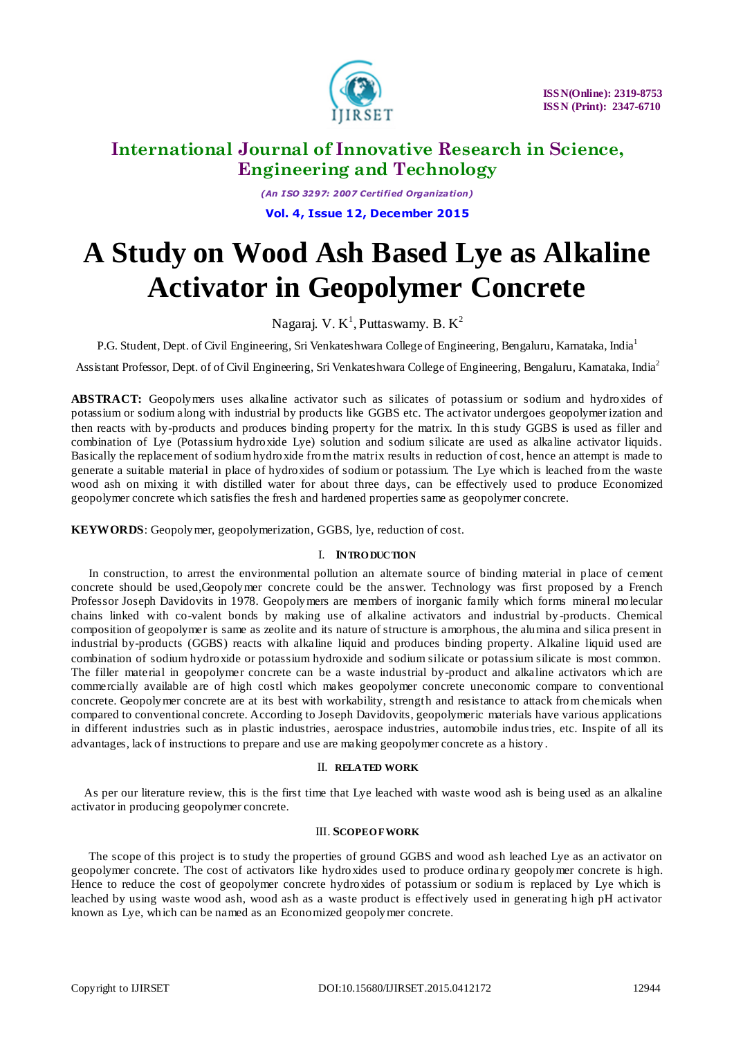

*(An I SO 3297: 2007 Certified Organization)* **Vol. 4, Issue 12, December 2015**

# **A Study on Wood Ash Based Lye as Alkaline Activator in Geopolymer Concrete**

Nagaraj. V.  $K^1$ , Puttaswamy. B.  $K^2$ 

P.G. Student, Dept. of Civil Engineering, Sri Venkateshwara College of Engineering, Bengaluru, Karnataka, India<sup>1</sup>

Assistant Professor, Dept. of of Civil Engineering, Sri Venkateshwara College of Engineering, Bengaluru, Kamataka, India<sup>2</sup>

**ABSTRACT:** Geopolymers uses alkaline activator such as silicates of potassium or sodium and hydroxides of potassium or sodium along with industrial by products like GGBS etc. The activator undergoes geopolymer ization and then reacts with by-products and produces binding property for the matrix. In this study GGBS is used as filler and combination of Lye (Potassium hydroxide Lye) solution and sodium silicate are used as alkaline activator liquids. Basically the replacement of sodium hydroxide from the matrix results in reduction of cost, hence an attempt is made to generate a suitable material in place of hydroxides of sodium or potassium. The Lye which is leached from the waste wood ash on mixing it with distilled water for about three days, can be effectively used to produce Economized geopolymer concrete which satisfies the fresh and hardened properties same as geopolymer concrete.

**KEYWORDS**: Geopolymer, geopolymerization, GGBS, lye, reduction of cost.

#### I. **INTRO DUCTION**

In construction, to arrest the environmental pollution an alternate source of binding material in place of cement concrete should be used,Geopolymer concrete could be the answer. Technology was first proposed by a French Professor Joseph Davidovits in 1978. Geopolymers are members of inorganic family which forms mineral molecular chains linked with co-valent bonds by making use of alkaline activators and industrial by -products. Chemical composition of geopolymer is same as zeolite and its nature of structure is amorphous, the alumina and silica present in industrial by-products (GGBS) reacts with alkaline liquid and produces binding property. Alkaline liquid used are combination of sodium hydroxide or potassium hydroxide and sodium silicate or potassium silicate is most common. The filler material in geopolymer concrete can be a waste industrial by-product and alkaline activators which are commercially available are of high costl which makes geopolymer concrete uneconomic compare to conventional concrete. Geopolymer concrete are at its best with workability, strength and resistance to attack from chemicals when compared to conventional concrete. According to Joseph Davidovits, geopolymeric materials have various applications in different industries such as in plastic industries, aerospace industries, automobile industries, etc. Inspite of all its advantages, lack of instructions to prepare and use are making geopolymer concrete as a history .

#### II. **RELATED WORK**

As per our literature review, this is the first time that Lye leached with waste wood ash is being used as an alkaline activator in producing geopolymer concrete.

### III. **SCOPE O F WORK**

The scope of this project is to study the properties of ground GGBS and wood ash leached Lye as an activator on geopolymer concrete. The cost of activators like hydroxides used to produce ordina ry geopolymer concrete is high. Hence to reduce the cost of geopolymer concrete hydroxides of potassium or sodium is replaced by Lye which is leached by using waste wood ash, wood ash as a waste product is effectively used in generating high pH activator known as Lye, which can be named as an Economized geopolymer concrete.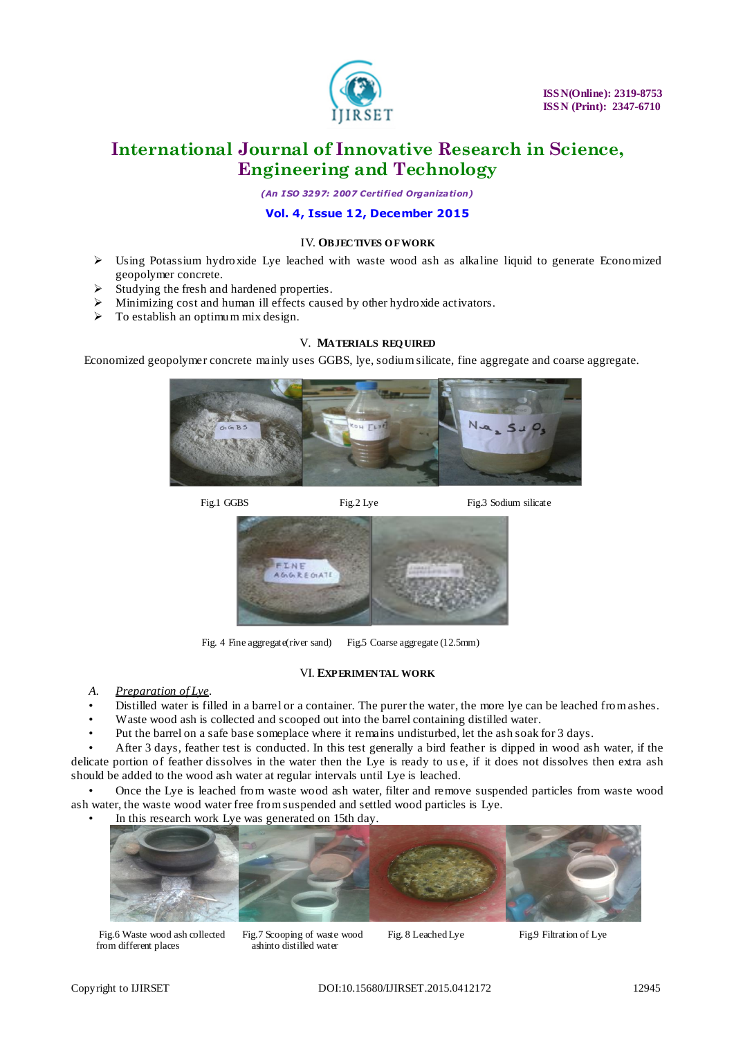

*(An I SO 3297: 2007 Certified Organization)*

### **Vol. 4, Issue 12, December 2015**

#### IV. **OBJECTIVES O F WORK**

- $\triangleright$  Using Potassium hydroxide Lye leached with waste wood ash as alkaline liquid to generate Economized geopolymer concrete.
- Studying the fresh and hardened properties.
- Minimizing cost and human ill effects caused by other hydroxide activators.
- $\triangleright$  To establish an optimum mix design.

#### V. **MATERIALS REQ UIRED**

Economized geopolymer concrete mainly uses GGBS, lye, sodium silicate, fine aggregate and coarse aggregate.



Fig.1 GGBS Fig.2 Lye Fig.3 Sodium silicate



Fig.2 Lye

Fig. 4 Fine aggregate(river sand) Fig.5 Coarse aggregate (12.5mm)

#### VI. **EXPERIMENTAL WORK**

- *A. Preparation of Lye.*
- Distilled water is filled in a barrel or a container. The purer the water, the more lye can be leached from ashes.
- Waste wood ash is collected and scooped out into the barrel containing distilled water.
- Put the barrel on a safe base someplace where it remains undisturbed, let the ash soak for 3 days.

• After 3 days, feather test is conducted. In this test generally a bird feather is dipped in wood ash water, if the delicate portion of feather dissolves in the water then the Lye is ready to us e, if it does not dissolves then extra ash should be added to the wood ash water at regular intervals until Lye is leached.

• Once the Lye is leached from waste wood ash water, filter and remove suspended particles from waste wood ash water, the waste wood water free from suspended and settled wood particles is Lye.

In this research work Lye was generated on 15th day.



from different places ashinto distilled water

Fig.6 Waste wood ash collected Fig.7 Scooping of waste wood Fig. 8 Leached Lye Fig.9 Filtration of Lye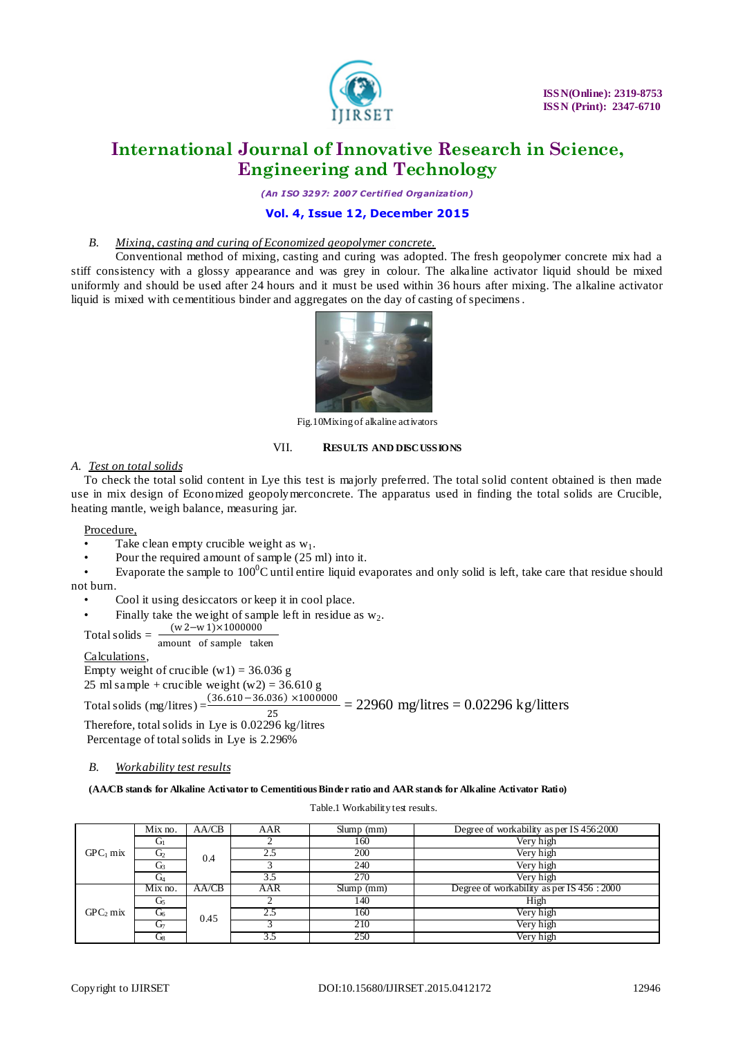

*(An I SO 3297: 2007 Certified Organization)*

#### **Vol. 4, Issue 12, December 2015**

#### *B. Mixing, casting and curing of Economized geopolymer concrete.*

Conventional method of mixing, casting and curing was adopted. The fresh geopolymer concrete mix had a stiff consistency with a glossy appearance and was grey in colour. The alkaline activator liquid should be mixed uniformly and should be used after 24 hours and it must be used within 36 hours after mixing. The alkaline activator liquid is mixed with cementitious binder and aggregates on the day of casting of specimens.



Fig.10Mixing of alkaline activators

#### VII. **RESULTS AND DISCUSSIONS**

#### *A. Test on total solids*

To check the total solid content in Lye this test is majorly preferred. The total solid content obtained is then made use in mix design of Economized geopolymerconcrete. The apparatus used in finding the total solids are Crucible, heating mantle, weigh balance, measuring jar.

Procedure,

- Take clean empty crucible weight as  $w_1$ .
- Pour the required amount of sample (25 ml) into it.

Evaporate the sample to  $100^0C$  until entire liquid evaporates and only solid is left, take care that residue should not burn.

• Cool it using desiccators or keep it in cool place.

Finally take the weight of sample left in residue as  $w_2$ .<br> $w_2 - w_1 \times 1000000$ 

Total solids =  $\frac{(w2-w1)\times1000000}{(w2-w1)\times1000000}$ 

amount of sample taken

Calculations,

Empty weight of crucible  $(w1) = 36.036$  g

25 ml sample + crucible weight  $(w2) = 36.610$  g

Total solids (mg/litres) =  $\frac{(36.610-36.036) \times 1000000}{25}$  = 22960 mg/litres = 0.02296 kg/litters 25

Therefore, total solids in Lye is 0.02296 kg/litres Percentage of total solids in Lye is 2.296%

#### *B. Workability test results*

**(AA/CB stands for Alkaline Activator to Cementitious Binder ratio and AAR stands for Alkaline Activator Ratio)**

Table.1 Workability test results.

|                      | Mix no.        | AA/CB | AAR             | $S$ lump $(mm)$ | Degree of workability as per IS 456:2000   |
|----------------------|----------------|-------|-----------------|-----------------|--------------------------------------------|
|                      | G <sub>1</sub> |       |                 | 160             | Very high                                  |
| $GPC1$ mix           | Û2             | 0.4   | 2.5             | 200             | Very high                                  |
|                      | G3             |       |                 | 240             | Very high                                  |
|                      | Gи             |       | 3.5             | 270             | Very high                                  |
|                      | $Mix no$ .     | AA/CB | AAR             | $S$ lump $(mm)$ | Degree of workability as per IS 456 : 2000 |
|                      | Ū۶             |       |                 | 140             | High                                       |
| GPC <sub>2</sub> mix | Ű6             | 0.45  | 2.5             | 160             | Very high                                  |
|                      | Ū⊤             |       |                 | 210             | Very high                                  |
|                      | UR             |       | $3\overline{5}$ | 250             | Very high                                  |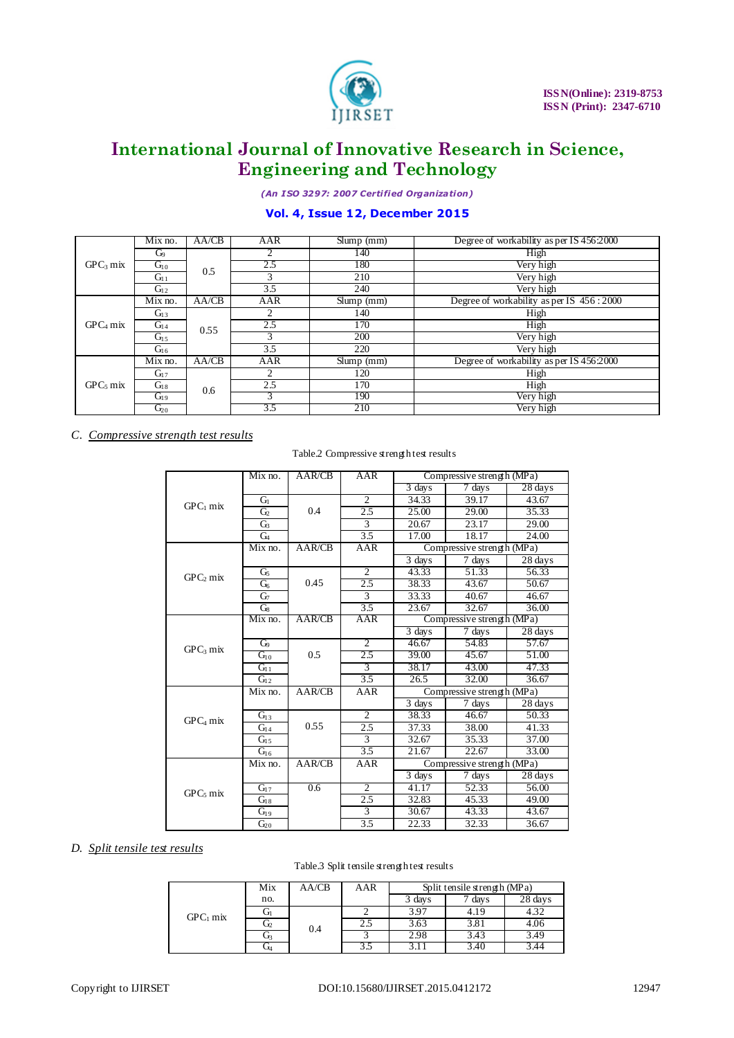

*(An I SO 3297: 2007 Certified Organization)*

### **Vol. 4, Issue 12, December 2015**

| GPC <sub>3</sub> mix | Mix no.        | AA/CB | AAR           | $S$ lump $(mm)$                               | Degree of workability as per IS 456:2000 |
|----------------------|----------------|-------|---------------|-----------------------------------------------|------------------------------------------|
|                      | G <sub>9</sub> | 0.5   | 2             | 140                                           | High                                     |
|                      | $G_{10}$       |       | 2.5           | 180                                           | Very high                                |
|                      | $G_{11}$       |       | 3             | 210                                           | Very high                                |
|                      | $G_{12}$       |       | 3.5           | 240                                           | Very high                                |
|                      | Mix no.        | AA/CB | AAR           | $S$ lump $(mm)$                               | Degree of workability as per IS 456:2000 |
|                      | $G_{13}$       | 0.55  | 2             | 140                                           | High                                     |
| GPC <sub>4</sub> mix | $G_{14}$       |       | 2.5           | 170                                           | High                                     |
|                      | $G_{15}$       |       | $\mathcal{R}$ | 200                                           | Very high                                |
|                      | $G_{16}$       |       | 3.5           | 220<br>Slump (mm)<br>120<br>170<br>190<br>210 | Very high                                |
|                      | Mix no.        | AA/CB | AAR           |                                               | Degree of workability as per IS 456:2000 |
|                      | $G_{17}$       |       |               |                                               | High                                     |
| GPC <sub>5</sub> mix | $G_{18}$       | 0.6   | 2.5           |                                               | High                                     |
|                      | $G_{19}$       |       |               |                                               | Very high                                |
|                      | $G_{20}$       |       | 3.5           |                                               | Very high                                |

*C. Compressive strength test results*

Table.2 Compressive strength test results

|                      | Mix no.                     | AAR/CB        | AAR              |                            | Compressive strength (MPa) |                    |
|----------------------|-----------------------------|---------------|------------------|----------------------------|----------------------------|--------------------|
|                      |                             |               |                  | $3 \overline{d}$ days      | 7 days                     | 28 days            |
|                      | Gı                          |               | $\overline{c}$   | 34.33                      | 39.17                      | 43.67              |
| $GPC1$ mix           | $\overline{G}$              | 0.4           | 2.5              | 25.00                      | 29.00                      | 35.33              |
|                      | G <sub>3</sub>              |               | $\overline{3}$   | 20.67                      | 23.17                      | $\overline{29.00}$ |
|                      | G <sub>4</sub>              |               | 3.5              | 17.00                      | 18.17                      | 24.00              |
|                      | Mix no.                     | AAR/CB        | AAR              | Compressive strength (MPa) |                            |                    |
|                      |                             |               |                  | 3 days                     | $\overline{7}$ days        | $28 \text{ days}$  |
| $GPC_2$ mix          | G5                          |               | $\overline{c}$   | 43.33                      | 51.33                      | 56.33              |
|                      | G <sub>6</sub>              | 0.45          | 2.5              | 38.33                      | 43.67                      | 50.67              |
|                      | G <sub>7</sub>              |               | $\overline{3}$   | 33.33                      | 40.67                      | 46.67              |
|                      | $G_8$                       |               | $\overline{3.5}$ | 23.67                      | 32.67                      | 36.00              |
|                      | Mix no.                     | <b>AAR/CB</b> | AAR              |                            | Compressive strength (MPa) |                    |
|                      |                             |               |                  | $3 \text{ days}$           | 7 days                     | 28 days            |
| $GPC3$ mix           | $\mathbb{G}^{\circ}$        |               | 2                | 46.67                      | 54.83                      | 57.67              |
|                      | $G_{10}$                    | 0.5           | 2.5              | 39.00                      | 45.67                      | 51.00              |
|                      | $\overline{G_1}$            |               | $\overline{3}$   | 38.17                      | 43.00                      | 47.33              |
|                      | $G_{12}$                    |               | $\overline{3.5}$ | 26.5                       | 32.00                      | 36.67              |
|                      | $\overline{\text{Mix}}$ no. | AAR/CB        | <b>AAR</b>       | Compressive strength (MPa) |                            |                    |
|                      |                             |               |                  | 3 days                     | 7 days                     | 28 days            |
| GPC <sub>4</sub> mix | G <sub>13</sub>             |               | $\overline{2}$   | 38.33                      | 46.67                      | 50.33              |
|                      | $G_{14}$                    | 0.55          | $\overline{2.5}$ | 37.33                      | 38.00                      | 41.33              |
|                      | G <sub>15</sub>             |               | $\overline{3}$   | 32.67                      | 35.33                      | $\overline{37.00}$ |
|                      | $G_{16}$                    |               | $\overline{3.5}$ | 21.67                      | 22.67                      | 33.00              |
|                      | Mix no.                     | AAR/CB        | AAR              |                            | Compressive strength (MPa) |                    |
|                      |                             |               |                  | 3 days                     | 7 days                     | 28 days            |
| $GPC5$ mix           | $G_{17}$                    | 0.6           | $\overline{2}$   | 41.17                      | 52.33                      | 56.00              |
|                      | $G_{18}$                    |               | 2.5              | 32.83                      | 45.33                      | 49.00              |
|                      | $G_{19}$                    |               | $\overline{3}$   | 30.67                      | 43.33                      | 43.67              |
|                      | $G_{20}$                    |               | $\overline{3.5}$ | 22.33                      | 32.33                      | 36.67              |

#### *D. Split tensile test results*

#### Table.3 Split tensile strength test results

|            | Mix | AA/CB | AAR | Split tensile strength (MPa) |        |         |
|------------|-----|-------|-----|------------------------------|--------|---------|
|            | no. |       |     | 3 days                       | 7 days | 28 days |
| $GPC1$ mix | Uı  | 0.4   |     | 3.97                         | 4.19   | 4.32    |
|            | U2  |       | 2.5 | 3.63                         | 3.81   | 4.06    |
|            | U٦  |       |     | 2.98                         | 3.43   | 3.49    |
|            | Л4  |       |     |                              | 3.40   |         |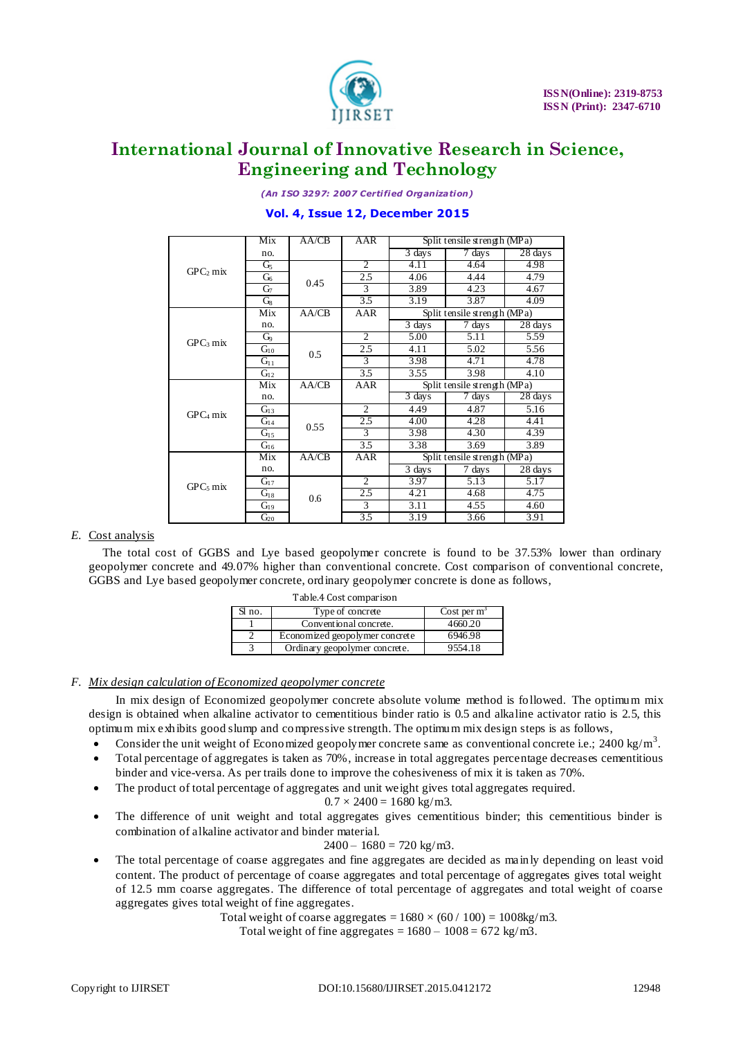

*(An I SO 3297: 2007 Certified Organization)*

### **Vol. 4, Issue 12, December 2015**

|                      | Mix            | AA/CB | AAR            | Split tensile strength (MPa) |                              |         |
|----------------------|----------------|-------|----------------|------------------------------|------------------------------|---------|
|                      | no.            |       |                | $\overline{3}$ days          | 7 days                       | 28 days |
| GPC <sub>2</sub> mix | G <sub>5</sub> |       | $\overline{2}$ | 4.11                         | 4.64                         | 4.98    |
|                      | G <sub>6</sub> | 0.45  | 2.5            | 4.06                         | 4.44                         | 4.79    |
|                      | $G_7$          |       | 3              | 3.89                         | 4.23                         | 4.67    |
|                      | $G_8$          |       | 3.5            | 3.19                         | 3.87                         | 4.09    |
|                      | Mix            | AA/CB | AAR            |                              | Split tensile strength (MPa) |         |
|                      | no.            |       |                | 3 days                       | 7 days                       | 28 days |
| GPC <sub>3</sub> mix | G <sub>9</sub> |       | 2              | 5.00                         | 5.11                         | 5.59    |
|                      | $G_{10}$       | 0.5   | 2.5            | 4.11                         | 5.02                         | 5.56    |
|                      | $G_{11}$       |       | 3              | 3.98                         | 4.71                         | 4.78    |
|                      | $G_{12}$       |       | 3.5            | 3.55                         | 3.98                         | 4.10    |
|                      | Mix            | AA/CB | AAR            |                              | Split tensile strength (MPa) |         |
|                      | no.            |       |                | $\overline{3}$ days          | $\overline{7}$ days          | 28 days |
| $GPC4$ mix           | $G_{13}$       |       | 2              | 4.49                         | 4.87                         | 5.16    |
|                      | $G_{14}$       | 0.55  | 2.5            | 4.00                         | 4.28                         | 4.41    |
|                      | $G_{15}$       |       | 3              | 3.98                         | 4.30                         | 4.39    |
|                      | $G_{16}$       |       | 3.5            | 3.38                         | 3.69                         | 3.89    |
|                      | Mix            | AA/CB | AAR            |                              | Split tensile strength (MPa) |         |
|                      | no.            |       |                | 3 days                       | 7 days                       | 28 days |
| $GPC5$ mix           | $G_{17}$       |       | $\overline{c}$ | 3.97                         | 5.13                         | 5.17    |
|                      | $G_{18}$       | 0.6   | 2.5            | 4.21                         | 4.68                         | 4.75    |
|                      | $G_{19}$       |       | 3              | 3.11                         | 4.55                         | 4.60    |
|                      | $G_{20}$       |       | 3.5            | 3.19                         | 3.66                         | 3.91    |

### *E.* Cost analysis

The total cost of GGBS and Lye based geopolymer concrete is found to be 37.53% lower than ordinary geopolymer concrete and 49.07% higher than conventional concrete. Cost comparison of conventional concrete, GGBS and Lye based geopolymer concrete, ordinary geopolymer concrete is done as follows,

| Table.4 Cost comparison |                                |                |  |  |  |  |
|-------------------------|--------------------------------|----------------|--|--|--|--|
| Sl no.                  | Type of concrete               | Cost per $m^3$ |  |  |  |  |
|                         | Conventional concrete.         | 4660.20        |  |  |  |  |
|                         | Economized geopolymer concrete | 6946.98        |  |  |  |  |
|                         | Ordinary geopolymer concrete.  | 9554.18        |  |  |  |  |

### *F. Mix design calculation of Economized geopolymer concrete*

In mix design of Economized geopolymer concrete absolute volume method is followed. The optimum mix design is obtained when alkaline activator to cementitious binder ratio is 0.5 and alkaline activator ratio is 2.5, this optimum mix exhibits good slump and compressive strength. The optimum mix design steps is as follows,

- Consider the unit weight of Economized geopolymer concrete same as conventional concrete i.e.; 2400 kg/m<sup>3</sup>.
- Total percentage of aggregates is taken as 70%, increase in total aggregates percentage decreases cementitious binder and vice-versa. As per trails done to improve the cohesiveness of mix it is taken as 70%.
- The product of total percentage of aggregates and unit weight gives total aggregates required.

$$
0.7 \times 2400 = 1680 \text{ kg/m3}.
$$

 The difference of unit weight and total aggregates gives cementitious binder; this cementitious binder is combination of alkaline activator and binder material.

### $2400 - 1680 = 720$  kg/m3.

 The total percentage of coarse aggregates and fine aggregates are decided as mainly depending on least void content. The product of percentage of coarse aggregates and total percentage of aggregates gives total weight of 12.5 mm coarse aggregates. The difference of total percentage of aggregates and total weight of coarse aggregates gives total weight of fine aggregates.

Total weight of coarse aggregates =  $1680 \times (60 / 100) = 1008 \text{kg/m3}$ .

Total weight of fine aggregates =  $1680 - 1008 = 672$  kg/m3.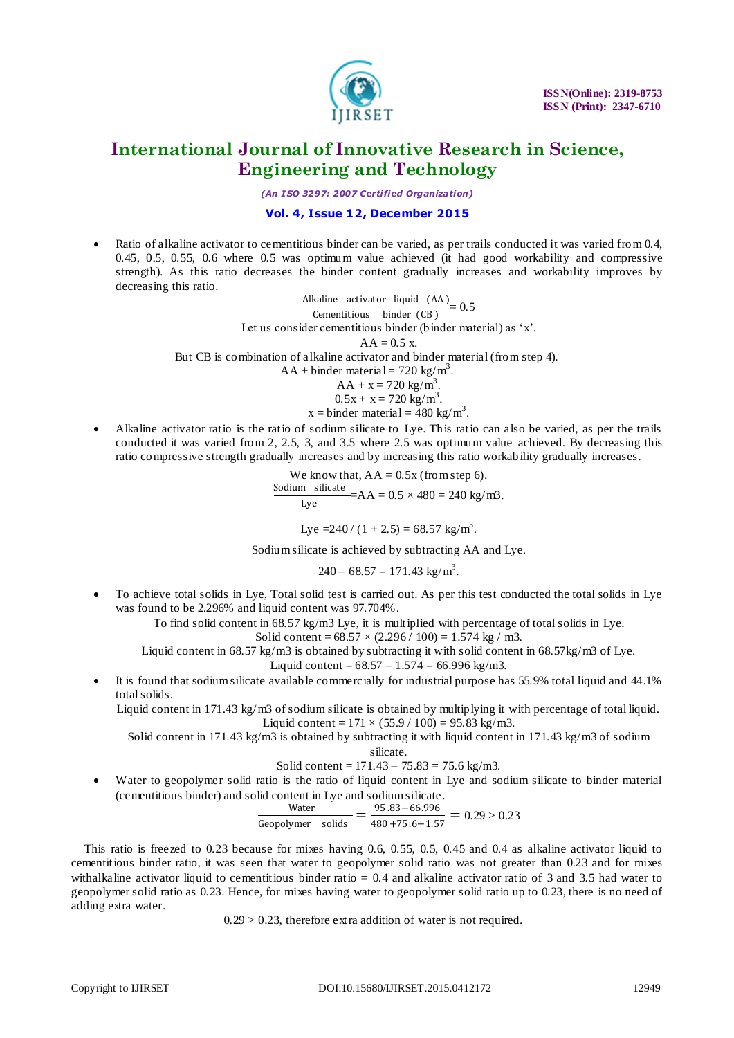

*(An I SO 3297: 2007 Certified Organization)*

### **Vol. 4, Issue 12, December 2015**

 Ratio of alkaline activator to cementitious binder can be varied, as per trails conducted it was varied from 0.4, 0.45, 0.5, 0.55, 0.6 where 0.5 was optimum value achieved (it had good workability and compressive strength). As this ratio decreases the binder content gradually increases and workability improves by decreasing this ratio.

> Alkaline activator liquid (AA )  $\frac{\text{Gamma}(\text{cm})}{\text{Cementitious  
> binder (CB)}} = 0.5$ Let us consider cementitious binder (binder material) as 'x'.  $AA = 0.5 x$ But CB is combination of alkaline activator and binder material (from step 4).  $AA + binder material = 720 kg/m<sup>3</sup>$ .  $AA + x = 720$  kg/m<sup>3</sup>.

$$
AA + x = 720
$$
 kg/m<sup>3</sup>.  
0.5x + x = 720 kg/m<sup>3</sup>.

x = binder material =  $480 \text{ kg/m}^3$ .

 Alkaline activator ratio is the ratio of sodium silicate to Lye. This ratio can also be varied, as per the trails conducted it was varied from 2, 2.5, 3, and 3.5 where 2.5 was optimum value achieved. By decreasing this ratio compressive strength gradually increases and by increasing this ratio workability gradually increases.

> We know that,  $AA = 0.5x$  (from step 6).  $\frac{\text{Sodium}}{\text{Solicate}} = AA = 0.5 \times 480 = 240 \text{ kg/m3}.$ Lye

Lye =240 / (1 + 2.5) = 68.57 kg/m<sup>3</sup> .

Sodium silicate is achieved by subtracting AA and Lye.

 $240 - 68.57 = 171.43$  kg/m<sup>3</sup>.

 To achieve total solids in Lye, Total solid test is carried out. As per this test conducted the total solids in Lye was found to be 2.296% and liquid content was 97.704%.

To find solid content in 68.57 kg/m3 Lye, it is multiplied with percentage of total solids in Lye.

Solid content =  $68.57 \times (2.296 / 100) = 1.574$  kg / m3.

Liquid content in 68.57 kg/m3 is obtained by subtracting it with solid content in 68.57kg/m3 of Lye. Liquid content =  $68.57 - 1.574 = 66.996$  kg/m3.

 It is found that sodium silicate available commercially for industrial purpose has 55.9% total liquid and 44.1% total solids.

Liquid content in 171.43 kg/m3 of sodium silicate is obtained by multiplying it with percentage of total liquid. Liquid content =  $171 \times (55.9 / 100) = 95.83$  kg/m3.

Solid content in 171.43 kg/m3 is obtained by subtracting it with liquid content in 171.43 kg/m3 of sodium

silicate.

Solid content =  $171.43 - 75.83 = 75.6$  kg/m3. Water to geopolymer solid ratio is the ratio of liquid content in Lye and sodium silicate to binder material (cementitious binder) and solid content in Lye and sodium silicate.

$$
\frac{\text{Water}}{\text{Geopolymer} \text{ solids}} = \frac{95.83 + 66.996}{480 + 75.6 + 1.57} = 0.29 > 0.23
$$

This ratio is freezed to 0.23 because for mixes having 0.6, 0.55, 0.5, 0.45 and 0.4 as alkaline activator liquid to cementitious binder ratio, it was seen that water to geopolymer solid ratio was not greater than 0.23 and for mixes withalkaline activator liquid to cementitious binder ratio = 0.4 and alkaline activator ratio of 3 and 3.5 had water to geopolymer solid ratio as 0.23. Hence, for mixes having water to geopolymer solid ratio up to 0.23, there is no need of adding extra water.

 $0.29 > 0.23$ , therefore extra addition of water is not required.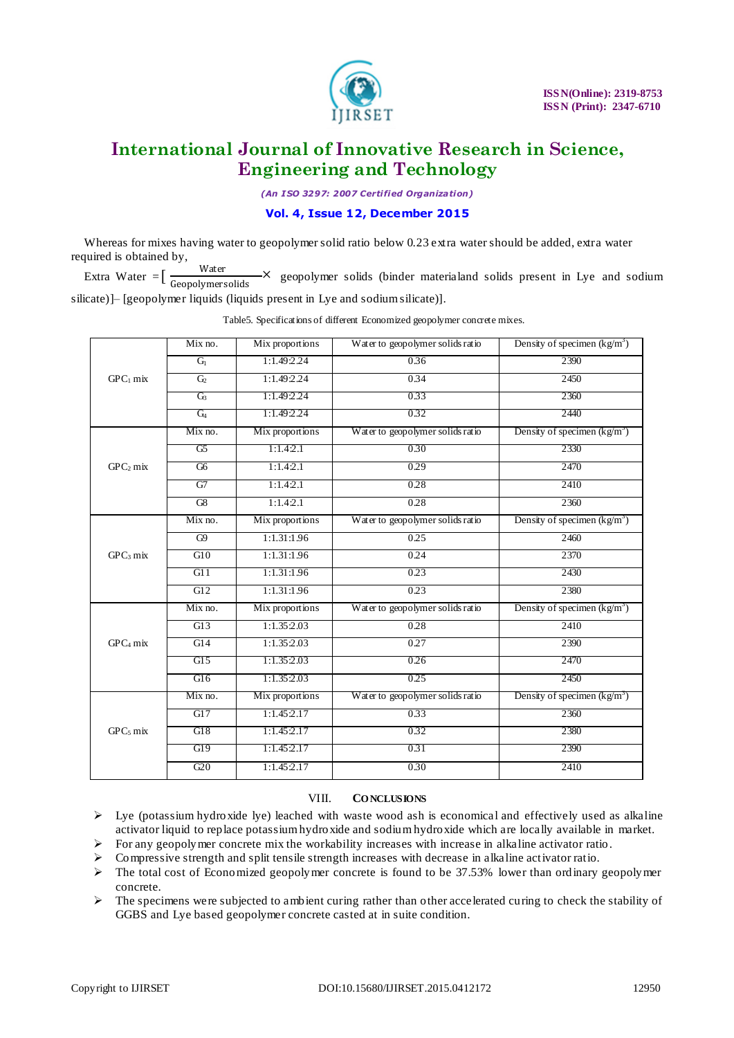

*(An I SO 3297: 2007 Certified Organization)*

### **Vol. 4, Issue 12, December 2015**

Whereas for mixes having water to geopolymer solid ratio below 0.23 extra water should be added, extra water required is obtained by,

Extra Water  $=$   $\left[\frac{\text{Water}}{\text{Cop}}\right]$ Geopolymersolids  $\rightarrow$  geopolymer solids (binder materialand solids present in Lye and sodium silicate)]– [geopolymer liquids (liquids present in Lye and sodium silicate)].

|                      | Mix no.        | Mix proportions | Water to geopolymer solids ratio | Density of specimen $(kg/m3)$        |
|----------------------|----------------|-----------------|----------------------------------|--------------------------------------|
|                      | G <sub>1</sub> | 1:1.49:2.24     | 0.36                             | 2390                                 |
| $GPC1$ mix           | G <sub>2</sub> | 1:1.49:2.24     | 0.34                             | 2450                                 |
|                      | G3             | 1:1.49:2.24     | 0.33                             | 2360                                 |
|                      | G <sub>4</sub> | 1:1.49:2.24     | 0.32                             | 2440                                 |
|                      | Mix no.        | Mix proportions | Water to geopolymer solids ratio | Density of specimen $\frac{kg}{m^3}$ |
|                      | G5             | 1:1.4.2.1       | 0.30                             | 2330                                 |
| GPC <sub>2</sub> mix | G6             | 1:1.4:2.1       | 0.29                             | 2470                                 |
|                      | G7             | 1:1.4:2.1       | 0.28                             | 2410                                 |
|                      | G8             | 1:1.4:2.1       | 0.28                             | 2360                                 |
|                      | Mix no.        | Mix proportions | Water to geopolymer solids ratio | Density of specimen $(kg/m3)$        |
|                      | G9             | 1:1.31:1.96     | 0.25                             | 2460                                 |
| $GPC3$ mix           | G10            | 1:1.31:1.96     | 0.24                             | 2370                                 |
|                      | G11            | 1:1.31:1.96     | 0.23                             | 2430                                 |
|                      | G12            | 1:1.31:1.96     | 0.23                             | 2380                                 |
|                      | Mix no.        | Mix proportions | Water to geopolymer solids ratio | Density of specimen $(kg/m3)$        |
|                      | G13            | 1:1.35:2.03     | 0.28                             | 2410                                 |
| $GPC4$ mix           | G14            | 1:1.35:2.03     | 0.27                             | 2390                                 |
|                      | G15            | 1:1.35:2.03     | 0.26                             | 2470                                 |
|                      | G16            | 1:1.35:2.03     | 0.25                             | 2450                                 |
|                      | Mix no.        | Mix proportions | Water to geopolymer solids ratio | Density of specimen $(kg/m3)$        |
|                      | G17            | 1:1.45:2.17     | 0.33                             | 2360                                 |
| $GPC5$ mix           | G18            | 1:1.45:2.17     | 0.32                             | 2380                                 |
|                      | G19            | 1:1.45:2.17     | 0.31                             | 2390                                 |
|                      | G20            | 1:1.45:2.17     | 0.30                             | 2410                                 |

Table5. Specifications of different Economized geopolymer concrete mixes.

#### VIII. **CO NCLUSIONS**

- $\triangleright$  Lye (potassium hydroxide lye) leached with waste wood ash is economical and effectively used as alkaline activator liquid to replace potassium hydroxide and sodium hydroxide which are locally available in market.
- For any geopolymer concrete mix the workability increases with increase in alkaline activator ratio.
- $\triangleright$  Compressive strength and split tensile strength increases with decrease in alkaline activator ratio.
- $\triangleright$  The total cost of Economized geopolymer concrete is found to be 37.53% lower than ordinary geopolymer concrete.
- $\triangleright$  The specimens were subjected to ambient curing rather than other accelerated curing to check the stability of GGBS and Lye based geopolymer concrete casted at in suite condition.